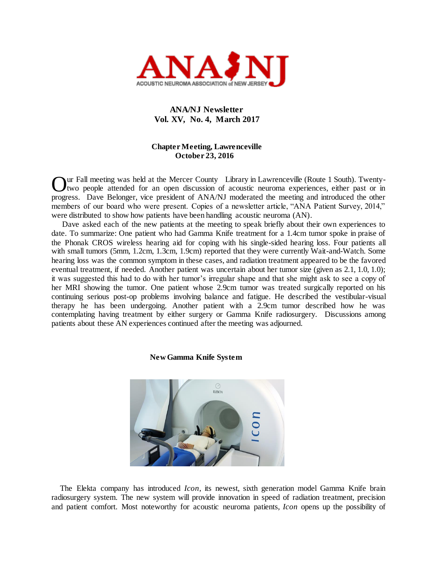

## **ANA/NJ Newsletter Vol. XV, No. 4, March 2017**

## **Chapter Meeting, Lawrenceville October 23, 2016**

ur Fall meeting was held at the Mercer County Library in Lawrenceville (Route 1 South). Twentytwo people attended for an open discussion of acoustic neuroma experiences, either past or in Our Fall meeting was held at the Mercer County Library in Lawrenceville (Route 1 South). Twenty-<br>two people attended for an open discussion of acoustic neuroma experiences, either past or in<br>progress. Dave Belonger, vice p members of our board who were present. Copies of a newsletter article, "ANA Patient Survey, 2014," were distributed to show how patients have been handling acoustic neuroma (AN).

Dave asked each of the new patients at the meeting to speak briefly about their own experiences to date. To summarize: One patient who had Gamma Knife treatment for a 1.4cm tumor spoke in praise of the Phonak CROS wireless hearing aid for coping with his single-sided hearing loss. Four patients all with small tumors (5mm, 1.2cm, 1.3cm, 1.9cm) reported that they were currently Wait-and-Watch. Some hearing loss was the common symptom in these cases, and radiation treatment appeared to be the favored eventual treatment, if needed. Another patient was uncertain about her tumor size (given as 2.1, 1.0, 1.0); it was suggested this had to do with her tumor's irregular shape and that she might ask to see a copy of her MRI showing the tumor. One patient whose 2.9cm tumor was treated surgically reported on his continuing serious post-op problems involving balance and fatigue. He described the vestibular-visual therapy he has been undergoing. Another patient with a 2.9cm tumor described how he was contemplating having treatment by either surgery or Gamma Knife radiosurgery. Discussions among patients about these AN experiences continued after the meeting was adjourned.

### **New Gamma Knife System**



 The Elekta company has introduced *Icon*, its newest, sixth generation model Gamma Knife brain radiosurgery system. The new system will provide innovation in speed of radiation treatment, precision and patient comfort. Most noteworthy for acoustic neuroma patients, *Icon* opens up the possibility of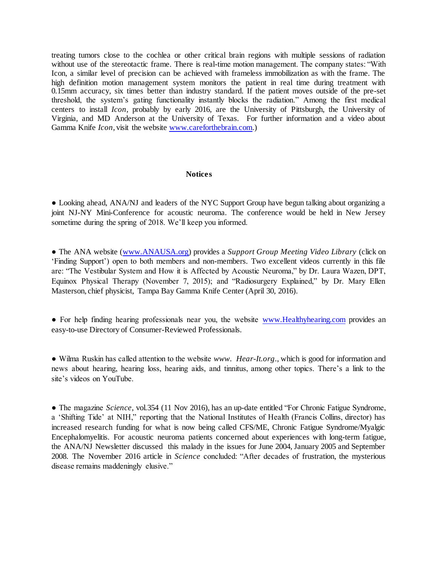treating tumors close to the cochlea or other critical brain regions with multiple sessions of radiation without use of the stereotactic frame. There is real-time motion management. The company states: "With Icon, a similar level of precision can be achieved with frameless immobilization as with the frame. The high definition motion management system monitors the patient in real time during treatment with 0.15mm accuracy, six times better than industry standard. If the patient moves outside of the pre-set threshold, the system's gating functionality instantly blocks the radiation." Among the first medical centers to install *Icon*, probably by early 2016, are the University of Pittsburgh, the University of Virginia, and MD Anderson at the University of Texas. For further information and a video about Gamma Knife *Icon*, visit the website [www.careforthebrain.com.](http://www.careforthebrain.com/))

## **Notices**

**●** Looking ahead, ANA/NJ and leaders of the NYC Support Group have begun talking about organizing a joint NJ-NY Mini-Conference for acoustic neuroma. The conference would be held in New Jersey sometime during the spring of 2018. We'll keep you informed.

**●** The ANA website [\(www.ANAUSA.org\)](http://www.anausa.org/) provides a *Support Group Meeting Video Library* (click on 'Finding Support') open to both members and non-members. Two excellent videos currently in this file are: "The Vestibular System and How it is Affected by Acoustic Neuroma," by Dr. Laura Wazen, DPT, Equinox Physical Therapy (November 7, 2015); and "Radiosurgery Explained," by Dr. Mary Ellen Masterson, chief physicist, Tampa Bay Gamma Knife Center (April 30, 2016).

• For help finding hearing professionals near you, the website [www.Healthyhearing.com](http://www.healthyhearing.com/) provides an easy-to-use Directory of Consumer-Reviewed Professionals.

● Wilma Ruskin has called attention to the website *www*. *Hear-It.org*., which is good for information and news about hearing, hearing loss, hearing aids, and tinnitus, among other topics. There's a link to the site's videos on YouTube.

● The magazine *Science*, vol.354 (11 Nov 2016), has an up-date entitled "For Chronic Fatigue Syndrome, a 'Shifting Tide' at NIH," reporting that the National Institutes of Health (Francis Collins, director) has increased research funding for what is now being called CFS/ME, Chronic Fatigue Syndrome/Myalgic Encephalomyelitis. For acoustic neuroma patients concerned about experiences with long-term fatigue, the ANA/NJ Newsletter discussed this malady in the issues for June 2004, January 2005 and September 2008. The November 2016 article in *Science* concluded: "After decades of frustration, the mysterious disease remains maddeningly elusive."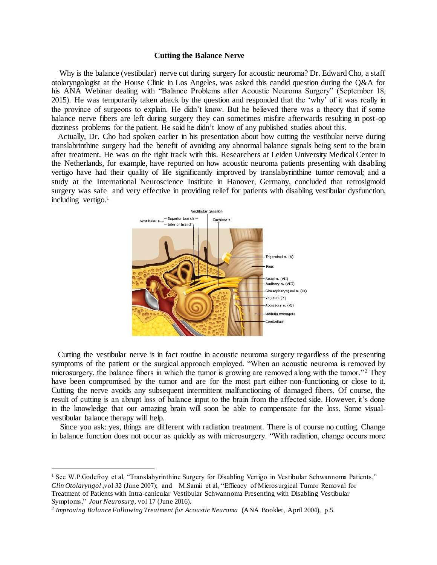### **Cutting the Balance Nerve**

 Why is the balance (vestibular) nerve cut during surgery for acoustic neuroma? Dr. Edward Cho, a staff otolaryngologist at the House Clinic in Los Angeles, was asked this candid question during the Q&A for his ANA Webinar dealing with "Balance Problems after Acoustic Neuroma Surgery" (September 18, 2015). He was temporarily taken aback by the question and responded that the 'why' of it was really in the province of surgeons to explain. He didn't know. But he believed there was a theory that if some balance nerve fibers are left during surgery they can sometimes misfire afterwards resulting in post-op dizziness problems for the patient. He said he didn't know of any published studies about this.

 Actually, Dr. Cho had spoken earlier in his presentation about how cutting the vestibular nerve during translabrinthine surgery had the benefit of avoiding any abnormal balance signals being sent to the brain after treatment. He was on the right track with this. Researchers at Leiden University Medical Center in the Netherlands, for example, have reported on how acoustic neuroma patients presenting with disabling vertigo have had their quality of life significantly improved by translabyrinthine tumor removal; and a study at the International Neuroscience Institute in Hanover, Germany, concluded that retrosigmoid surgery was safe and very effective in providing relief for patients with disabling vestibular dysfunction, including vertigo.<sup>1</sup>



 Cutting the vestibular nerve is in fact routine in acoustic neuroma surgery regardless of the presenting symptoms of the patient or the surgical approach employed. "When an acoustic neuroma is removed by microsurgery, the balance fibers in which the tumor is growing are removed along with the tumor."<sup>2</sup> They have been compromised by the tumor and are for the most part either non-functioning or close to it. Cutting the nerve avoids any subsequent intermittent malfunctioning of damaged fibers. Of course, the result of cutting is an abrupt loss of balance input to the brain from the affected side. However, it's done in the knowledge that our amazing brain will soon be able to compensate for the loss. Some visualvestibular balance therapy will help.

 Since you ask: yes, things are different with radiation treatment. There is of course no cutting. Change in balance function does not occur as quickly as with microsurgery. "With radiation, change occurs more

 $\overline{a}$ 

<sup>&</sup>lt;sup>1</sup> See W.P.Godefroy et al, "Translabyrinthine Surgery for Disabling Vertigo in Vestibular Schwannoma Patients," *Clin Otolaryngol* ,vol 32 (June 2007); and M.Samii et al, "Efficacy of Microsurgical Tumor Removal for Treatment of Patients with Intra-canicular Vestibular Schwannoma Presenting with Disabling Vestibular Symptoms," *Jour Neurosurg*, vol 17 (June 2016).

<sup>&</sup>lt;sup>2</sup> Improving Balance Following Treatment for Acoustic Neuroma (ANA Booklet, April 2004), p.5.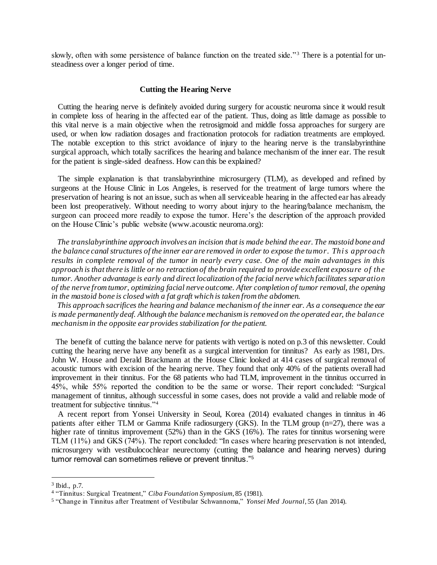slowly, often with some persistence of balance function on the treated side."<sup>3</sup> There is a potential for unsteadiness over a longer period of time.

### **Cutting the Hearing Nerve**

 Cutting the hearing nerve is definitely avoided during surgery for acoustic neuroma since it would result in complete loss of hearing in the affected ear of the patient. Thus, doing as little damage as possible to this vital nerve is a main objective when the retrosigmoid and middle fossa approaches for surgery are used, or when low radiation dosages and fractionation protocols for radiation treatments are employed. The notable exception to this strict avoidance of injury to the hearing nerve is the translabyrinthine surgical approach, which totally sacrifices the hearing and balance mechanism of the inner ear. The result for the patient is single-sided deafness. How can this be explained?

 The simple explanation is that translabyrinthine microsurgery (TLM), as developed and refined by surgeons at the House Clinic in Los Angeles, is reserved for the treatment of large tumors where the preservation of hearing is not an issue, such as when all serviceable hearing in the affected ear has already been lost preoperatively. Without needing to worry about injury to the hearing/balance mechanism, the surgeon can proceed more readily to expose the tumor. Here's the description of the approach provided on the House Clinic's public website (www.acoustic neuroma.org):

 *The translabyrinthine approach involves an incision that is made behind the ear. The mastoid bone and the balance canal structures of the inner ear are removed in order to expose the tumor. This approach results in complete removal of the tumor in nearly every case. One of the main advantages in this approach is that there is little or no retraction of the brain required to provide excellent exposure of the tumor. Another advantage is early and direct localization of the facial nerve which facilitates separation of the nerve from tumor, optimizing facial nerve outcome. After completion of tumor removal, the opening in the mastoid bone is closed with a fat graft which is taken from the abdomen.* 

 *This approach sacrifices the hearing and balance mechanism of the inner ear. As a consequence the ear is made permanently deaf. Although the balance mechanism is removed on the operated ear, the balance mechanism in the opposite ear provides stabilization for the patient.* 

 The benefit of cutting the balance nerve for patients with vertigo is noted on p.3 of this newsletter. Could cutting the hearing nerve have any benefit as a surgical intervention for tinnitus? As early as 1981, Drs. John W. House and Derald Brackmann at the House Clinic looked at 414 cases of surgical removal of acoustic tumors with excision of the hearing nerve. They found that only 40% of the patients overall had improvement in their tinnitus. For the 68 patients who had TLM, improvement in the tinnitus occurred in 45%, while 55% reported the condition to be the same or worse. Their report concluded: "Surgical management of tinnitus, although successful in some cases, does not provide a valid and reliable mode of treatment for subjective tinnitus."<sup>4</sup>

 A recent report from Yonsei University in Seoul, Korea (2014) evaluated changes in tinnitus in 46 patients after either TLM or Gamma Knife radiosurgery (GKS). In the TLM group (n=27), there was a higher rate of tinnitus improvement (52%) than in the GKS (16%). The rates for tinnitus worsening were TLM (11%) and GKS (74%). The report concluded: "In cases where hearing preservation is not intended, microsurgery with vestibulocochlear neurectomy (cutting the balance and hearing nerves) during tumor removal can sometimes relieve or prevent tinnitus."<sup>5</sup>

 $\overline{a}$ 

<sup>3</sup> Ibid., p.7.

<sup>4</sup> "Tinnitus: Surgical Treatment," *Ciba Foundation Symposium*, 85 (1981).

<sup>5</sup> "Change in Tinnitus after Treatment of Vestibular Schwannoma," *Yonsei Med Journal*, 55 (Jan 2014).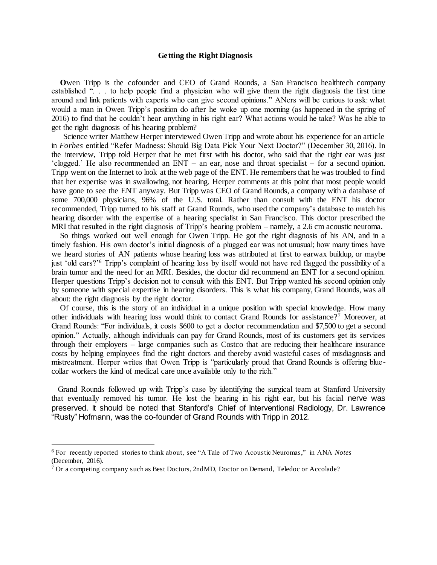### **Getting the Right Diagnosis**

 **O**wen Tripp is the cofounder and CEO of Grand Rounds, a San Francisco healthtech company established ". . . to help people find a physician who will give them the right diagnosis the first time around and link patients with experts who can give second opinions." ANers will be curious to ask: what would a man in Owen Tripp's position do after he woke up one morning (as happened in the spring of 2016) to find that he couldn't hear anything in his right ear? What actions would he take? Was he able to get the right diagnosis of his hearing problem?

 Science writer Matthew Herper interviewed Owen Tripp and wrote about his experience for an article in *Forbes* entitled "Refer Madness: Should Big Data Pick Your Next Doctor?" (December 30, 2016). In the interview, Tripp told Herper that he met first with his doctor, who said that the right ear was just 'clogged.' He also recommended an ENT – an ear, nose and throat specialist – for a second opinion. Tripp went on the Internet to look at the web page of the ENT. He remembers that he was troubled to find that her expertise was in swallowing, not hearing. Herper comments at this point that most people would have gone to see the ENT anyway. But Tripp was CEO of Grand Rounds, a company with a database of some 700,000 physicians, 96% of the U.S. total. Rather than consult with the ENT his doctor recommended, Tripp turned to his staff at Grand Rounds, who used the company's database to match his hearing disorder with the expertise of a hearing specialist in San Francisco. This doctor prescribed the MRI that resulted in the right diagnosis of Tripp's hearing problem – namely, a 2.6 cm acoustic neuroma.

So things worked out well enough for Owen Tripp. He got the right diagnosis of his AN, and in a timely fashion. His own doctor's initial diagnosis of a plugged ear was not unusual; how many times have we heard stories of AN patients whose hearing loss was attributed at first to earwax buildup, or maybe just 'old ears?'<sup>6</sup> Tripp's complaint of hearing loss by itself would not have red flagged the possibility of a brain tumor and the need for an MRI. Besides, the doctor did recommend an ENT for a second opinion. Herper questions Tripp's decision not to consult with this ENT. But Tripp wanted his second opinion only by someone with special expertise in hearing disorders. This is what his company, Grand Rounds, was all about: the right diagnosis by the right doctor.

 Of course, this is the story of an individual in a unique position with special knowledge. How many other individuals with hearing loss would think to contact Grand Rounds for assistance? <sup>7</sup> Moreover, at Grand Rounds: "For individuals, it costs \$600 to get a doctor recommendation and \$7,500 to get a second opinion." Actually, although individuals can pay for Grand Rounds, most of its customers get its services through their employers – large companies such as Costco that are reducing their healthcare insurance costs by helping employees find the right doctors and thereby avoid wasteful cases of misdiagnosis and mistreatment. Herper writes that Owen Tripp is "particularly proud that Grand Rounds is offering bluecollar workers the kind of medical care once available only to the rich."

 Grand Rounds followed up with Tripp's case by identifying the surgical team at Stanford University that eventually removed his tumor. He lost the hearing in his right ear, but his facial nerve was preserved. It should be noted that Stanford's Chief of Interventional Radiology, Dr. Lawrence "Rusty" Hofmann, was the co-founder of Grand Rounds with Tripp in 2012.

 $\overline{a}$ 

<sup>6</sup> For recently reported stories to think about, see "A Tale of Two Acoustic Neuromas," in ANA *Notes* (December, 2016).

<sup>7</sup> Or a competing company such as Best Doctors, 2ndMD, Doctor on Demand, Teledoc or Accolade?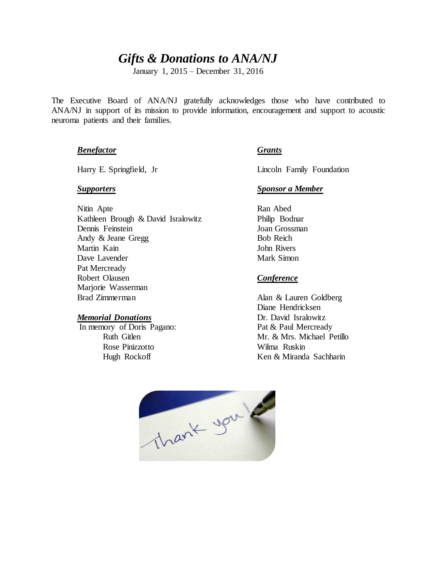# *Gifts & Donations to ANA/NJ*

January 1, 2015 – December 31, 2016

The Executive Board of ANA/NJ gratefully acknowledges those who have contributed to ANA/NJ in support of its mission to provide information, encouragement and support to acoustic neuroma patients and their families.

## *Benefactor Grants*

Nitin Apte Kathleen Brough & David Isralowitz Philip Bodnar Dennis Feinstein Joan Grossman Andy & Jeane Gregg Bob Reich Martin Kain **Martin Kain** John Rivers Dave Lavender Mark Simon Pat Mercready Robert Olausen *Conference* Marjorie Wasserman Brad Zimmerman Alan & Lauren Goldberg

In memory of Doris Pagano: Pat & Paul Mercready Rose Pinizzotto Wilma Ruskin

Harry E. Springfield, Jr Lincoln Family Foundation

## *Supporters Sponsor a Member*

Diane Hendricksen *Memorial Donations* Dr. David Isralowitz Ruth Gitlen Mr. & Mrs. Michael Petillo Hugh Rockoff Ken & Miranda Sachharin

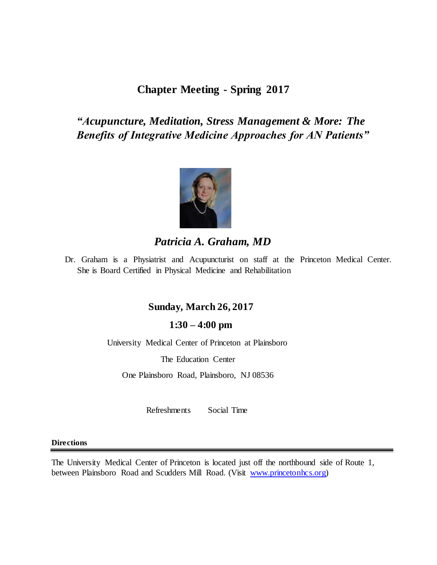# **Chapter Meeting - Spring 2017**

# *"Acupuncture, Meditation, Stress Management & More: The Benefits of Integrative Medicine Approaches for AN Patients"*



# *Patricia A. Graham, MD*

Dr. Graham is a Physiatrist and Acupuncturist on staff at the Princeton Medical Center. She is Board Certified in Physical Medicine and Rehabilitation

## **Sunday, March 26, 2017**

## **1:30 – 4:00 pm**

University Medical Center of Princeton at Plainsboro

The Education Center

One Plainsboro Road, Plainsboro, NJ 08536

Refreshments Social Time

## **Directions**

The University Medical Center of Princeton is located just off the northbound side of Route 1, between Plainsboro Road and Scudders Mill Road. (Visit [www.princetonhcs.org\)](http://www.princetonhcs.org/)